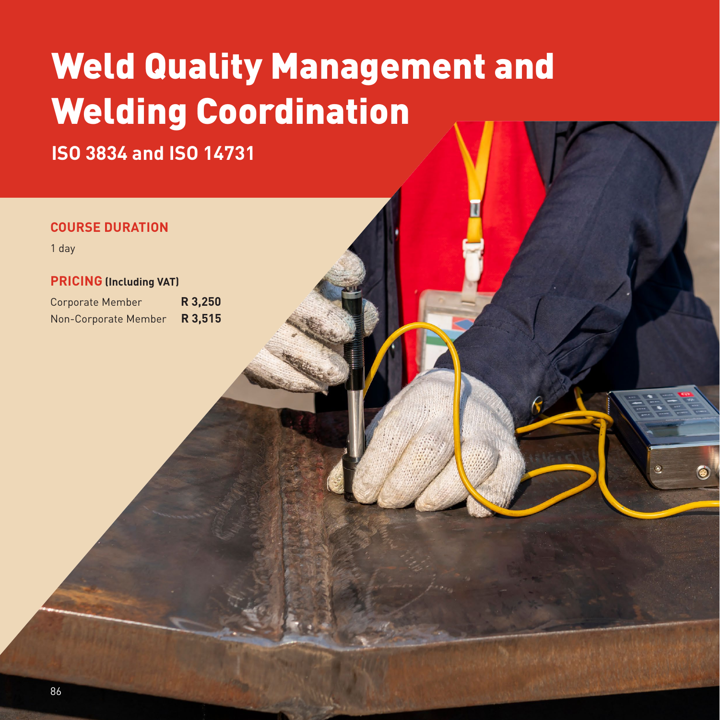# Weld Quality Management and Welding Coordination

**ISO 3834 and ISO 14731**

### **COURSE DURATION**

1 day

#### **PRICING (Including VAT)**

Corporate Member **R 3,250** Non-Corporate Member **R 3,515**